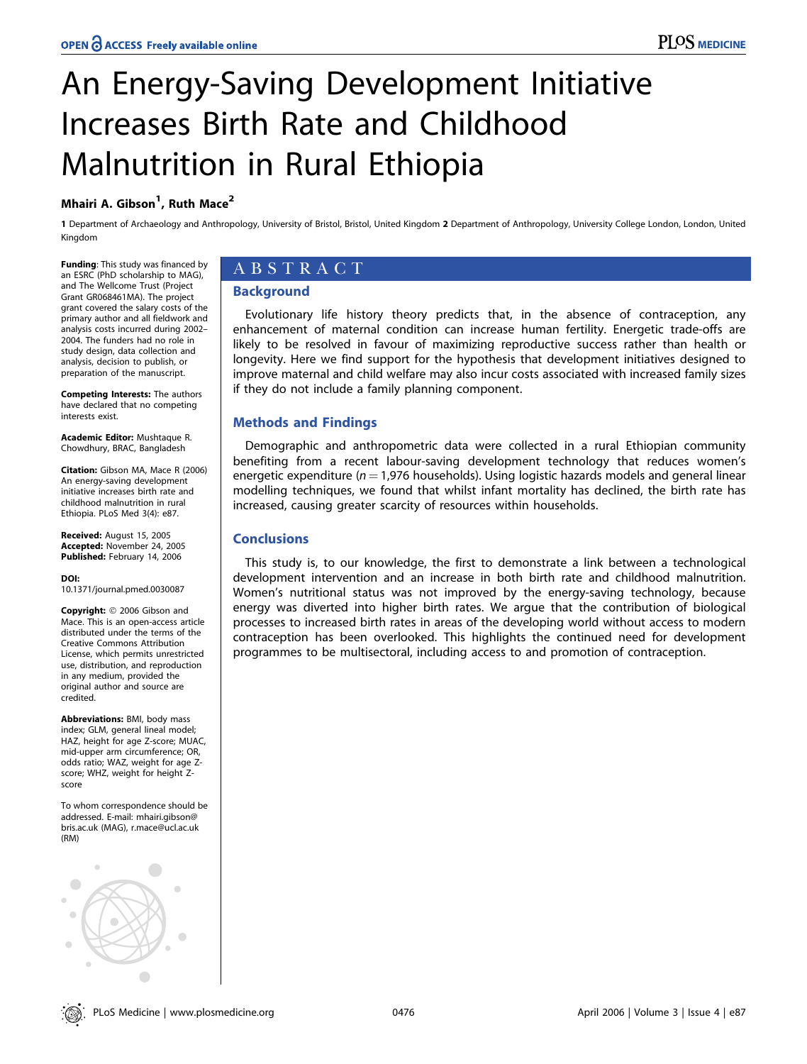# An Energy-Saving Development Initiative Increases Birth Rate and Childhood Malnutrition in Rural Ethiopia

## Mhairi A. Gibson<sup>1</sup>, Ruth Mace<sup>2</sup>

1 Department of Archaeology and Anthropology, University of Bristol, Bristol, United Kingdom 2 Department of Anthropology, University College London, London, United Kingdom

Funding: This study was financed by an ESRC (PhD scholarship to MAG), and The Wellcome Trust (Project Grant GR068461MA). The project grant covered the salary costs of the primary author and all fieldwork and analysis costs incurred during 2002– 2004. The funders had no role in study design, data collection and analysis, decision to publish, or preparation of the manuscript.

Competing Interests: The authors have declared that no competing interests exist.

Academic Editor: Mushtaque R. Chowdhury, BRAC, Bangladesh

Citation: Gibson MA, Mace R (2006) An energy-saving development initiative increases birth rate and childhood malnutrition in rural Ethiopia. PLoS Med 3(4): e87.

Received: August 15, 2005 Accepted: November 24, 2005 Published: February 14, 2006

DOI:

10.1371/journal.pmed.0030087

Copyright: © 2006 Gibson and Mace. This is an open-access article distributed under the terms of the Creative Commons Attribution License, which permits unrestricted use, distribution, and reproduction in any medium, provided the original author and source are credited.

Abbreviations: BMI, body mass index; GLM, general lineal model; HAZ, height for age Z-score; MUAC, mid-upper arm circumference; OR, odds ratio; WAZ, weight for age Zscore; WHZ, weight for height Zscore

To whom correspondence should be addressed. E-mail: mhairi.gibson@ bris.ac.uk (MAG), r.mace@ucl.ac.uk (RM)



# ABSTRACT

## **Background**

Evolutionary life history theory predicts that, in the absence of contraception, any enhancement of maternal condition can increase human fertility. Energetic trade-offs are likely to be resolved in favour of maximizing reproductive success rather than health or longevity. Here we find support for the hypothesis that development initiatives designed to improve maternal and child welfare may also incur costs associated with increased family sizes if they do not include a family planning component.

## Methods and Findings

Demographic and anthropometric data were collected in a rural Ethiopian community benefiting from a recent labour-saving development technology that reduces women's energetic expenditure ( $n = 1,976$  households). Using logistic hazards models and general linear modelling techniques, we found that whilst infant mortality has declined, the birth rate has increased, causing greater scarcity of resources within households.

## **Conclusions**

This study is, to our knowledge, the first to demonstrate a link between a technological development intervention and an increase in both birth rate and childhood malnutrition. Women's nutritional status was not improved by the energy-saving technology, because energy was diverted into higher birth rates. We argue that the contribution of biological processes to increased birth rates in areas of the developing world without access to modern contraception has been overlooked. This highlights the continued need for development programmes to be multisectoral, including access to and promotion of contraception.

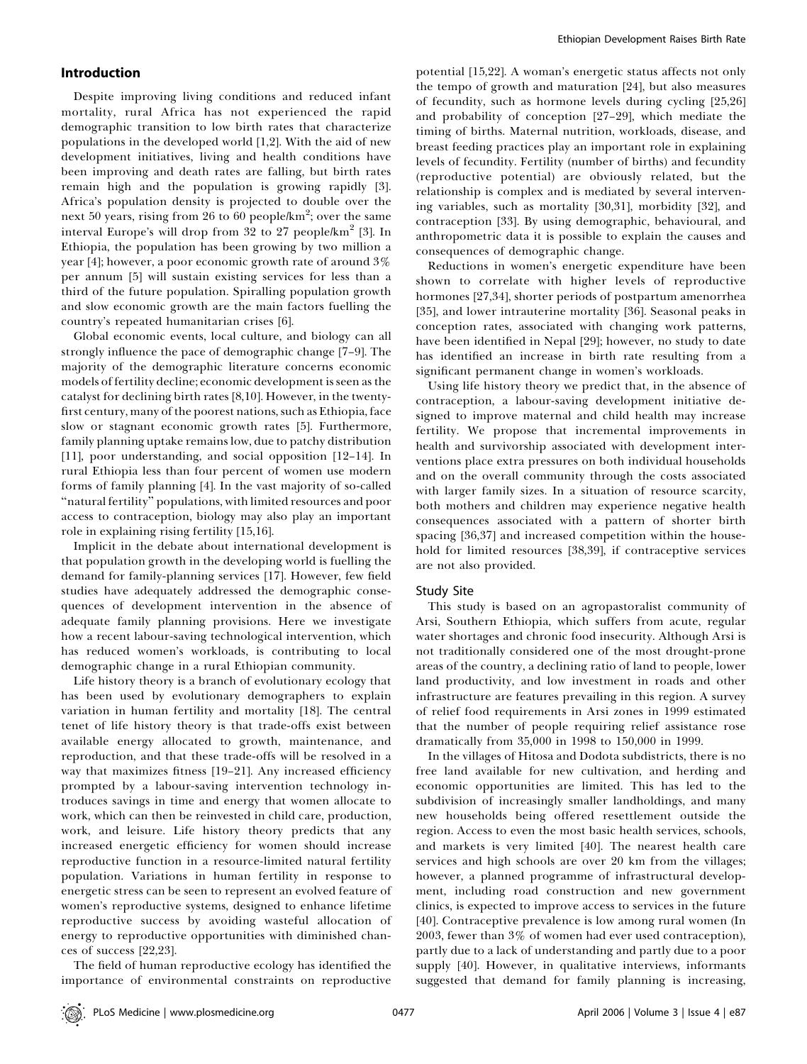#### Introduction

Despite improving living conditions and reduced infant mortality, rural Africa has not experienced the rapid demographic transition to low birth rates that characterize populations in the developed world [1,2]. With the aid of new development initiatives, living and health conditions have been improving and death rates are falling, but birth rates remain high and the population is growing rapidly [3]. Africa's population density is projected to double over the next 50 years, rising from 26 to 60 people/km<sup>2</sup>; over the same interval Europe's will drop from 32 to 27 people/km $^2$  [3]. In Ethiopia, the population has been growing by two million a year [4]; however, a poor economic growth rate of around 3% per annum [5] will sustain existing services for less than a third of the future population. Spiralling population growth and slow economic growth are the main factors fuelling the country's repeated humanitarian crises [6].

Global economic events, local culture, and biology can all strongly influence the pace of demographic change [7–9]. The majority of the demographic literature concerns economic models of fertility decline; economic development is seen as the catalyst for declining birth rates [8,10]. However, in the twentyfirst century, many of the poorest nations, such as Ethiopia, face slow or stagnant economic growth rates [5]. Furthermore, family planning uptake remains low, due to patchy distribution [11], poor understanding, and social opposition [12–14]. In rural Ethiopia less than four percent of women use modern forms of family planning [4]. In the vast majority of so-called ''natural fertility'' populations, with limited resources and poor access to contraception, biology may also play an important role in explaining rising fertility [15,16].

Implicit in the debate about international development is that population growth in the developing world is fuelling the demand for family-planning services [17]. However, few field studies have adequately addressed the demographic consequences of development intervention in the absence of adequate family planning provisions. Here we investigate how a recent labour-saving technological intervention, which has reduced women's workloads, is contributing to local demographic change in a rural Ethiopian community.

Life history theory is a branch of evolutionary ecology that has been used by evolutionary demographers to explain variation in human fertility and mortality [18]. The central tenet of life history theory is that trade-offs exist between available energy allocated to growth, maintenance, and reproduction, and that these trade-offs will be resolved in a way that maximizes fitness [19–21]. Any increased efficiency prompted by a labour-saving intervention technology introduces savings in time and energy that women allocate to work, which can then be reinvested in child care, production, work, and leisure. Life history theory predicts that any increased energetic efficiency for women should increase reproductive function in a resource-limited natural fertility population. Variations in human fertility in response to energetic stress can be seen to represent an evolved feature of women's reproductive systems, designed to enhance lifetime reproductive success by avoiding wasteful allocation of energy to reproductive opportunities with diminished chances of success [22,23].

The field of human reproductive ecology has identified the importance of environmental constraints on reproductive

potential [15,22]. A woman's energetic status affects not only the tempo of growth and maturation [24], but also measures of fecundity, such as hormone levels during cycling [25,26] and probability of conception [27–29], which mediate the timing of births. Maternal nutrition, workloads, disease, and breast feeding practices play an important role in explaining levels of fecundity. Fertility (number of births) and fecundity (reproductive potential) are obviously related, but the relationship is complex and is mediated by several intervening variables, such as mortality [30,31], morbidity [32], and contraception [33]. By using demographic, behavioural, and anthropometric data it is possible to explain the causes and consequences of demographic change.

Reductions in women's energetic expenditure have been shown to correlate with higher levels of reproductive hormones [27,34], shorter periods of postpartum amenorrhea [35], and lower intrauterine mortality [36]. Seasonal peaks in conception rates, associated with changing work patterns, have been identified in Nepal [29]; however, no study to date has identified an increase in birth rate resulting from a significant permanent change in women's workloads.

Using life history theory we predict that, in the absence of contraception, a labour-saving development initiative designed to improve maternal and child health may increase fertility. We propose that incremental improvements in health and survivorship associated with development interventions place extra pressures on both individual households and on the overall community through the costs associated with larger family sizes. In a situation of resource scarcity, both mothers and children may experience negative health consequences associated with a pattern of shorter birth spacing [36,37] and increased competition within the household for limited resources [38,39], if contraceptive services are not also provided.

#### Study Site

This study is based on an agropastoralist community of Arsi, Southern Ethiopia, which suffers from acute, regular water shortages and chronic food insecurity. Although Arsi is not traditionally considered one of the most drought-prone areas of the country, a declining ratio of land to people, lower land productivity, and low investment in roads and other infrastructure are features prevailing in this region. A survey of relief food requirements in Arsi zones in 1999 estimated that the number of people requiring relief assistance rose dramatically from 35,000 in 1998 to 150,000 in 1999.

In the villages of Hitosa and Dodota subdistricts, there is no free land available for new cultivation, and herding and economic opportunities are limited. This has led to the subdivision of increasingly smaller landholdings, and many new households being offered resettlement outside the region. Access to even the most basic health services, schools, and markets is very limited [40]. The nearest health care services and high schools are over 20 km from the villages; however, a planned programme of infrastructural development, including road construction and new government clinics, is expected to improve access to services in the future [40]. Contraceptive prevalence is low among rural women (In 2003, fewer than 3% of women had ever used contraception), partly due to a lack of understanding and partly due to a poor supply [40]. However, in qualitative interviews, informants suggested that demand for family planning is increasing,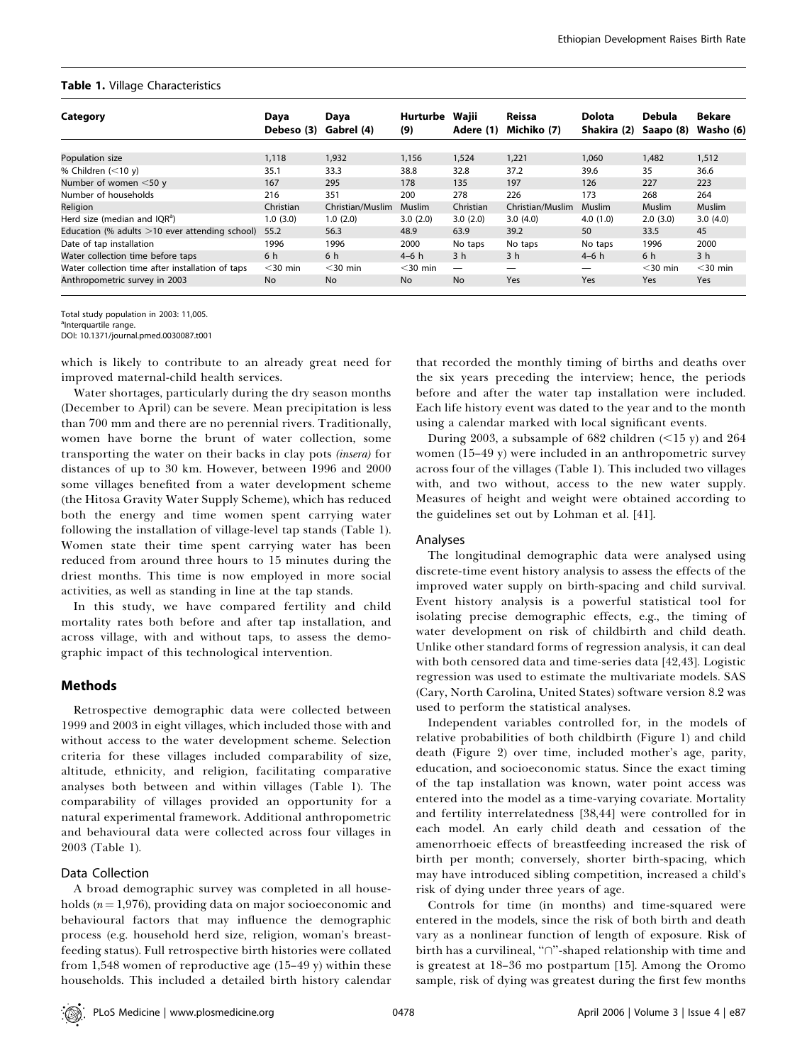## Table 1. Village Characteristics

| Category                                         | Daya       | Daya             | Hurturbe   | Wajii          | Reissa           | <b>Dolota</b> | Debula     | <b>Bekare</b>  |
|--------------------------------------------------|------------|------------------|------------|----------------|------------------|---------------|------------|----------------|
|                                                  | Debeso (3) | Gabrel (4)       | (9)        | Adere (1)      | Michiko (7)      | Shakira (2)   | Saapo (8)  | Washo (6)      |
|                                                  |            |                  |            |                |                  |               |            |                |
| Population size                                  | 1,118      | 1,932            | 1.156      | 1,524          | 1,221            | 1.060         | 1,482      | 1,512          |
| % Children $(<10 y)$                             | 35.1       | 33.3             | 38.8       | 32.8           | 37.2             | 39.6          | 35         | 36.6           |
| Number of women $<$ 50 y                         | 167        | 295              | 178        | 135            | 197              | 126           | 227        | 223            |
| Number of households                             | 216        | 351              | 200        | 278            | 226              | 173           | 268        | 264            |
| Religion                                         | Christian  | Christian/Muslim | Muslim     | Christian      | Christian/Muslim | Muslim        | Muslim     | <b>Muslim</b>  |
| Herd size (median and IOR <sup>a</sup> )         | 1.0(3.0)   | 1.0(2.0)         | 3.0(2.0)   | 3.0(2.0)       | 3.0(4.0)         | 4.0(1.0)      | 2.0(3.0)   | 3.0(4.0)       |
| Education (% adults $>10$ ever attending school) | 55.2       | 56.3             | 48.9       | 63.9           | 39.2             | 50            | 33.5       | 45             |
| Date of tap installation                         | 1996       | 1996             | 2000       | No taps        | No taps          | No taps       | 1996       | 2000           |
| Water collection time before taps                | 6 h        | 6 h              | $4-6h$     | 3 <sub>h</sub> | 3 <sub>h</sub>   | $4-6h$        | 6 h        | 3 <sub>h</sub> |
| Water collection time after installation of taps | $<$ 30 min | $<$ 30 min       | $<$ 30 min |                |                  |               | $<$ 30 min | $<$ 30 min     |
| Anthropometric survey in 2003                    | <b>No</b>  | <b>No</b>        | <b>No</b>  | <b>No</b>      | Yes              | Yes           | Yes        | Yes            |
|                                                  |            |                  |            |                |                  |               |            |                |

Total study population in 2003: 11,005.

<sup>a</sup>Interquartile range.

DOI: 10.1371/journal.pmed.0030087.t001

which is likely to contribute to an already great need for improved maternal-child health services.

Water shortages, particularly during the dry season months (December to April) can be severe. Mean precipitation is less than 700 mm and there are no perennial rivers. Traditionally, women have borne the brunt of water collection, some transporting the water on their backs in clay pots (insera) for distances of up to 30 km. However, between 1996 and 2000 some villages benefited from a water development scheme (the Hitosa Gravity Water Supply Scheme), which has reduced both the energy and time women spent carrying water following the installation of village-level tap stands (Table 1). Women state their time spent carrying water has been reduced from around three hours to 15 minutes during the driest months. This time is now employed in more social activities, as well as standing in line at the tap stands.

In this study, we have compared fertility and child mortality rates both before and after tap installation, and across village, with and without taps, to assess the demographic impact of this technological intervention.

## Methods

Retrospective demographic data were collected between 1999 and 2003 in eight villages, which included those with and without access to the water development scheme. Selection criteria for these villages included comparability of size, altitude, ethnicity, and religion, facilitating comparative analyses both between and within villages (Table 1). The comparability of villages provided an opportunity for a natural experimental framework. Additional anthropometric and behavioural data were collected across four villages in 2003 (Table 1).

### Data Collection

A broad demographic survey was completed in all households ( $n = 1,976$ ), providing data on major socioeconomic and behavioural factors that may influence the demographic process (e.g. household herd size, religion, woman's breastfeeding status). Full retrospective birth histories were collated from 1,548 women of reproductive age (15–49 y) within these households. This included a detailed birth history calendar

that recorded the monthly timing of births and deaths over the six years preceding the interview; hence, the periods before and after the water tap installation were included. Each life history event was dated to the year and to the month using a calendar marked with local significant events.

During 2003, a subsample of 682 children  $\leq$ 15 y) and 264 women (15–49 y) were included in an anthropometric survey across four of the villages (Table 1). This included two villages with, and two without, access to the new water supply. Measures of height and weight were obtained according to the guidelines set out by Lohman et al. [41].

#### Analyses

The longitudinal demographic data were analysed using discrete-time event history analysis to assess the effects of the improved water supply on birth-spacing and child survival. Event history analysis is a powerful statistical tool for isolating precise demographic effects, e.g., the timing of water development on risk of childbirth and child death. Unlike other standard forms of regression analysis, it can deal with both censored data and time-series data [42,43]. Logistic regression was used to estimate the multivariate models. SAS (Cary, North Carolina, United States) software version 8.2 was used to perform the statistical analyses.

Independent variables controlled for, in the models of relative probabilities of both childbirth (Figure 1) and child death (Figure 2) over time, included mother's age, parity, education, and socioeconomic status. Since the exact timing of the tap installation was known, water point access was entered into the model as a time-varying covariate. Mortality and fertility interrelatedness [38,44] were controlled for in each model. An early child death and cessation of the amenorrhoeic effects of breastfeeding increased the risk of birth per month; conversely, shorter birth-spacing, which may have introduced sibling competition, increased a child's risk of dying under three years of age.

Controls for time (in months) and time-squared were entered in the models, since the risk of both birth and death vary as a nonlinear function of length of exposure. Risk of birth has a curvilineal, " $\cap$ "-shaped relationship with time and is greatest at 18–36 mo postpartum [15]. Among the Oromo sample, risk of dying was greatest during the first few months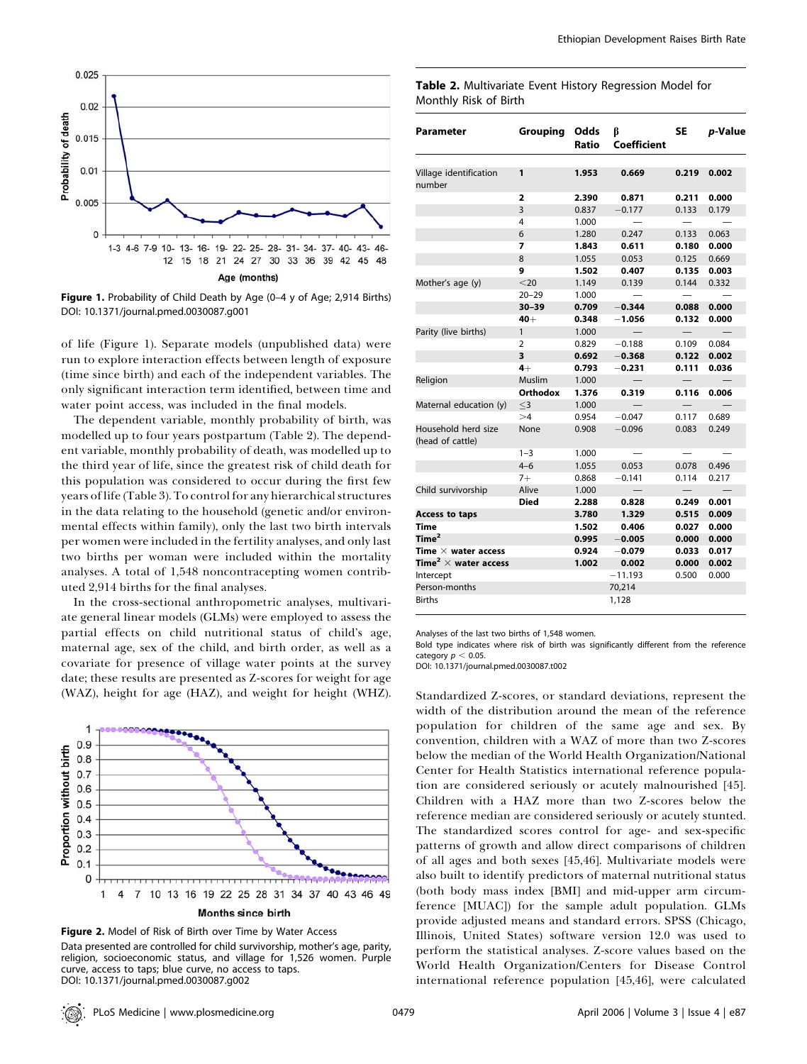

Figure 1. Probability of Child Death by Age (0-4 y of Age; 2,914 Births) DOI: 10.1371/journal.pmed.0030087.g001

of life (Figure 1). Separate models (unpublished data) were run to explore interaction effects between length of exposure (time since birth) and each of the independent variables. The only significant interaction term identified, between time and water point access, was included in the final models.

The dependent variable, monthly probability of birth, was modelled up to four years postpartum (Table 2). The dependent variable, monthly probability of death, was modelled up to the third year of life, since the greatest risk of child death for this population was considered to occur during the first few years of life (Table 3). To control for any hierarchical structures in the data relating to the household (genetic and/or environmental effects within family), only the last two birth intervals per women were included in the fertility analyses, and only last two births per woman were included within the mortality analyses. A total of 1,548 noncontracepting women contributed 2,914 births for the final analyses.

In the cross-sectional anthropometric analyses, multivariate general linear models (GLMs) were employed to assess the partial effects on child nutritional status of child's age, maternal age, sex of the child, and birth order, as well as a covariate for presence of village water points at the survey date; these results are presented as Z-scores for weight for age (WAZ), height for age (HAZ), and weight for height (WHZ). Standardized Z-scores, or standard deviations, represent the



Figure 2. Model of Risk of Birth over Time by Water Access Data presented are controlled for child survivorship, mother's age, parity, religion, socioeconomic status, and village for 1,526 women. Purple curve, access to taps; blue curve, no access to taps. DOI: 10.1371/journal.pmed.0030087.g002

Table 2. Multivariate Event History Regression Model for Monthly Risk of Birth

| Parameter                               | Grouping                | Odds<br>Ratio | ß<br>Coefficient         | SE                       | p-Value |
|-----------------------------------------|-------------------------|---------------|--------------------------|--------------------------|---------|
| Village identification<br>number        | 1                       | 1.953         | 0.669                    | 0.219                    | 0.002   |
|                                         | $\overline{\mathbf{2}}$ | 2.390         | 0.871                    | 0.211                    | 0.000   |
|                                         | 3                       | 0.837         | $-0.177$                 | 0.133                    | 0.179   |
|                                         | 4                       | 1.000         |                          |                          |         |
|                                         | 6                       | 1.280         | 0.247                    | 0.133                    | 0.063   |
|                                         | 7                       | 1.843         | 0.611                    | 0.180                    | 0.000   |
|                                         | 8                       | 1.055         | 0.053                    | 0.125                    | 0.669   |
|                                         | 9                       | 1.502         | 0.407                    | 0.135                    | 0.003   |
| Mother's age (y)                        | $<$ 20                  | 1.149         | 0.139                    | 0.144                    | 0.332   |
|                                         | $20 - 29$               | 1.000         |                          |                          |         |
|                                         | $30 - 39$               | 0.709         | $-0.344$                 | 0.088                    | 0.000   |
|                                         | $40+$                   | 0.348         | $-1.056$                 | 0.132                    | 0.000   |
| Parity (live births)                    | $\mathbf{1}$            | 1.000         |                          | $-$                      |         |
|                                         | $\overline{2}$          | 0.829         | $-0.188$                 | 0.109                    | 0.084   |
|                                         | 3                       | 0.692         | $-0.368$                 | 0.122                    | 0.002   |
|                                         | $4+$                    | 0.793         | $-0.231$                 | 0.111                    | 0.036   |
| Religion                                | Muslim                  | 1.000         |                          |                          |         |
|                                         | Orthodox                | 1.376         | 0.319                    | 0.116                    | 0.006   |
| Maternal education (y)                  | $\leq$ 3                | 1.000         | $\overline{\phantom{0}}$ | $\overline{\phantom{0}}$ |         |
|                                         | >4                      | 0.954         | $-0.047$                 | 0.117                    | 0.689   |
| Household herd size<br>(head of cattle) | None                    | 0.908         | $-0.096$                 | 0.083                    | 0.249   |
|                                         | $1 - 3$                 | 1.000         |                          |                          |         |
|                                         | $4 - 6$                 | 1.055         | 0.053                    | 0.078                    | 0.496   |
|                                         | $7+$                    | 0.868         | $-0.141$                 | 0.114                    | 0.217   |
| Child survivorship                      | Alive                   | 1.000         |                          |                          |         |
|                                         | <b>Died</b>             | 2.288         | 0.828                    | 0.249                    | 0.001   |
| <b>Access to taps</b>                   |                         | 3.780         | 1.329                    | 0.515                    | 0.009   |
| Time                                    |                         | 1.502         | 0.406                    | 0.027                    | 0.000   |
| Time <sup>2</sup>                       |                         | 0.995         | $-0.005$                 | 0.000                    | 0.000   |
| Time $\times$ water access              |                         | 0.924         | $-0.079$                 | 0.033                    | 0.017   |
| Time <sup>2</sup> $\times$ water access |                         | 1.002         | 0.002                    | 0.000                    | 0.002   |
| Intercept                               |                         |               | $-11.193$                | 0.500                    | 0.000   |
| Person-months                           |                         |               | 70,214                   |                          |         |
| <b>Births</b>                           |                         |               | 1,128                    |                          |         |

Analyses of the last two births of 1,548 women.

Bold type indicates where risk of birth was significantly different from the reference category  $p < 0.05$ 

DOI: 10.1371/journal.pmed.0030087.t002

width of the distribution around the mean of the reference population for children of the same age and sex. By convention, children with a WAZ of more than two Z-scores below the median of the World Health Organization/National Center for Health Statistics international reference population are considered seriously or acutely malnourished [45]. Children with a HAZ more than two Z-scores below the reference median are considered seriously or acutely stunted. The standardized scores control for age- and sex-specific patterns of growth and allow direct comparisons of children of all ages and both sexes [45,46]. Multivariate models were also built to identify predictors of maternal nutritional status (both body mass index [BMI] and mid-upper arm circumference [MUAC]) for the sample adult population. GLMs provide adjusted means and standard errors. SPSS (Chicago, Illinois, United States) software version 12.0 was used to perform the statistical analyses. Z-score values based on the World Health Organization/Centers for Disease Control international reference population [45,46], were calculated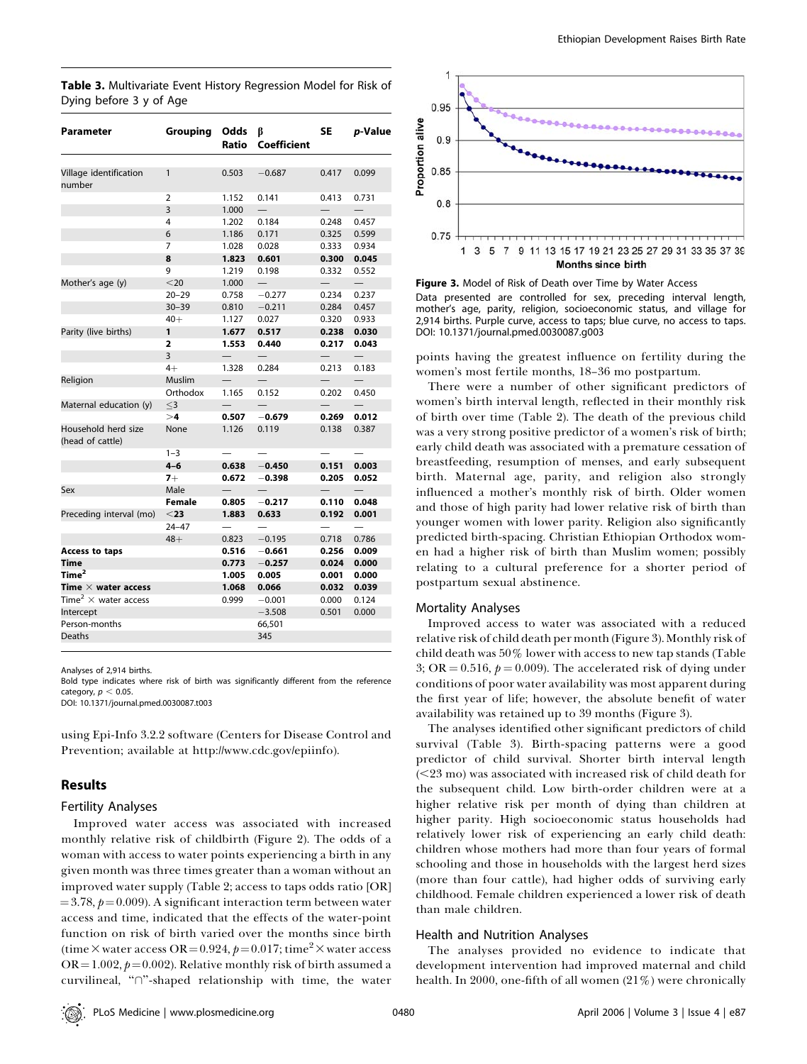| Parameter                               | Grouping       | Odds<br>Ratio            | ß<br><b>Coefficient</b>  | SE                       | p-Value                  |
|-----------------------------------------|----------------|--------------------------|--------------------------|--------------------------|--------------------------|
|                                         |                |                          |                          |                          |                          |
| Village identification<br>number        | 1              | 0.503                    | $-0.687$                 | 0.417                    | 0.099                    |
|                                         | $\overline{2}$ | 1.152                    | 0.141                    | 0.413                    | 0.731                    |
|                                         | 3              | 1.000                    |                          |                          | $\overline{\phantom{0}}$ |
|                                         | 4              | 1.202                    | 0.184                    | 0.248                    | 0.457                    |
|                                         | 6              | 1.186                    | 0.171                    | 0.325                    | 0.599                    |
|                                         | 7              | 1.028                    | 0.028                    | 0.333                    | 0.934                    |
|                                         | 8              | 1.823                    | 0.601                    | 0.300                    | 0.045                    |
|                                         | 9              | 1.219                    | 0.198                    | 0.332                    | 0.552                    |
| Mother's age (y)                        | $20$           | 1.000                    | $\overline{\phantom{0}}$ | $\overline{\phantom{0}}$ | $\equiv$                 |
|                                         | $20 - 29$      | 0.758                    | $-0.277$                 | 0.234                    | 0.237                    |
|                                         | $30 - 39$      | 0.810                    | $-0.211$                 | 0.284                    | 0.457                    |
|                                         | $40+$          | 1.127                    | 0.027                    | 0.320                    | 0.933                    |
| Parity (live births)                    | 1              | 1.677                    | 0.517                    | 0.238                    | 0.030                    |
|                                         | 2              | 1.553                    | 0.440                    | 0.217                    | 0.043                    |
|                                         | 3              | $\equiv$                 | $\overline{\phantom{0}}$ | $\equiv$                 | $\overline{\phantom{0}}$ |
|                                         | $4+$           | 1.328                    | 0.284                    | 0.213                    | 0.183                    |
| Religion                                | Muslim         |                          | $\overline{\phantom{0}}$ |                          | $\overline{\phantom{0}}$ |
|                                         | Orthodox       | 1.165                    | 0.152                    | 0.202                    | 0.450                    |
| Maternal education (y)                  | $<$ 3          | $\overline{\phantom{0}}$ |                          | $\overline{\phantom{0}}$ | $\overline{\phantom{0}}$ |
|                                         | >4             | 0.507                    | $-0.679$                 | 0.269                    | 0.012                    |
| Household herd size<br>(head of cattle) | None           | 1.126                    | 0.119                    | 0.138                    | 0.387                    |
|                                         | $1 - 3$        |                          |                          |                          |                          |
|                                         | $4 - 6$        | 0.638                    | $-0.450$                 | 0.151                    | 0.003                    |
|                                         | $7+$           | 0.672                    | $-0.398$                 | 0.205                    | 0.052                    |
| Sex                                     | Male           | $\overline{\phantom{0}}$ | $\overline{\phantom{0}}$ |                          | $\overline{\phantom{0}}$ |
|                                         | Female         | 0.805                    | $-0.217$                 | 0.110                    | 0.048                    |
| Preceding interval (mo)                 | $<$ 23         | 1.883                    | 0.633                    | 0.192                    | 0.001                    |
|                                         | $24 - 47$      |                          |                          |                          |                          |
|                                         | $48+$          | 0.823                    | $-0.195$                 | 0.718                    | 0.786                    |
| <b>Access to taps</b>                   |                | 0.516                    | $-0.661$                 | 0.256                    | 0.009                    |
| Time                                    |                | 0.773                    | $-0.257$                 | 0.024                    | 0.000                    |
| Time <sup>2</sup>                       |                | 1.005                    | 0.005                    | 0.001                    | 0.000                    |
| Time $\times$ water access              |                | 1.068                    | 0.066                    | 0.032                    | 0.039                    |
| Time <sup>2</sup> $\times$ water access |                | 0.999                    | $-0.001$                 | 0.000                    | 0.124                    |
| Intercept                               |                |                          | $-3.508$                 | 0.501                    | 0.000                    |
| Person-months                           |                |                          | 66,501                   |                          |                          |
| <b>Deaths</b>                           |                |                          | 345                      |                          |                          |

Table 3. Multivariate Event History Regression Model for Risk of Dying before 3 y of Age

Analyses of 2,914 births.

Bold type indicates where risk of birth was significantly different from the reference category,  $p < 0.05$ .

DOI: 10.1371/journal.pmed.0030087.t003

using Epi-Info 3.2.2 software (Centers for Disease Control and Prevention; available at http://www.cdc.gov/epiinfo).

#### Results

#### Fertility Analyses

Improved water access was associated with increased monthly relative risk of childbirth (Figure 2). The odds of a woman with access to water points experiencing a birth in any given month was three times greater than a woman without an improved water supply (Table 2; access to taps odds ratio [OR]  $=$  3.78,  $p$  = 0.009). A significant interaction term between water access and time, indicated that the effects of the water-point function on risk of birth varied over the months since birth (time  $\times$  water access OR = 0.924,  $p$  = 0.017; time<sup>2</sup>  $\times$  water access OR = 1.002,  $p$  = 0.002). Relative monthly risk of birth assumed a curvilineal, " $\cap$ "-shaped relationship with time, the water



Figure 3. Model of Risk of Death over Time by Water Access Data presented are controlled for sex, preceding interval length, mother's age, parity, religion, socioeconomic status, and village for 2,914 births. Purple curve, access to taps; blue curve, no access to taps. DOI: 10.1371/journal.pmed.0030087.g003

points having the greatest influence on fertility during the women's most fertile months, 18–36 mo postpartum.

There were a number of other significant predictors of women's birth interval length, reflected in their monthly risk of birth over time (Table 2). The death of the previous child was a very strong positive predictor of a women's risk of birth; early child death was associated with a premature cessation of breastfeeding, resumption of menses, and early subsequent birth. Maternal age, parity, and religion also strongly influenced a mother's monthly risk of birth. Older women and those of high parity had lower relative risk of birth than younger women with lower parity. Religion also significantly predicted birth-spacing. Christian Ethiopian Orthodox women had a higher risk of birth than Muslim women; possibly relating to a cultural preference for a shorter period of postpartum sexual abstinence.

#### Mortality Analyses

Improved access to water was associated with a reduced relative risk of child death per month (Figure 3). Monthly risk of child death was 50% lower with access to new tap stands (Table 3; OR = 0.516,  $p = 0.009$ ). The accelerated risk of dying under conditions of poor water availability was most apparent during the first year of life; however, the absolute benefit of water availability was retained up to 39 months (Figure 3).

The analyses identified other significant predictors of child survival (Table 3). Birth-spacing patterns were a good predictor of child survival. Shorter birth interval length  $(<$ 23 mo) was associated with increased risk of child death for the subsequent child. Low birth-order children were at a higher relative risk per month of dying than children at higher parity. High socioeconomic status households had relatively lower risk of experiencing an early child death: children whose mothers had more than four years of formal schooling and those in households with the largest herd sizes (more than four cattle), had higher odds of surviving early childhood. Female children experienced a lower risk of death than male children.

#### Health and Nutrition Analyses

The analyses provided no evidence to indicate that development intervention had improved maternal and child health. In 2000, one-fifth of all women (21%) were chronically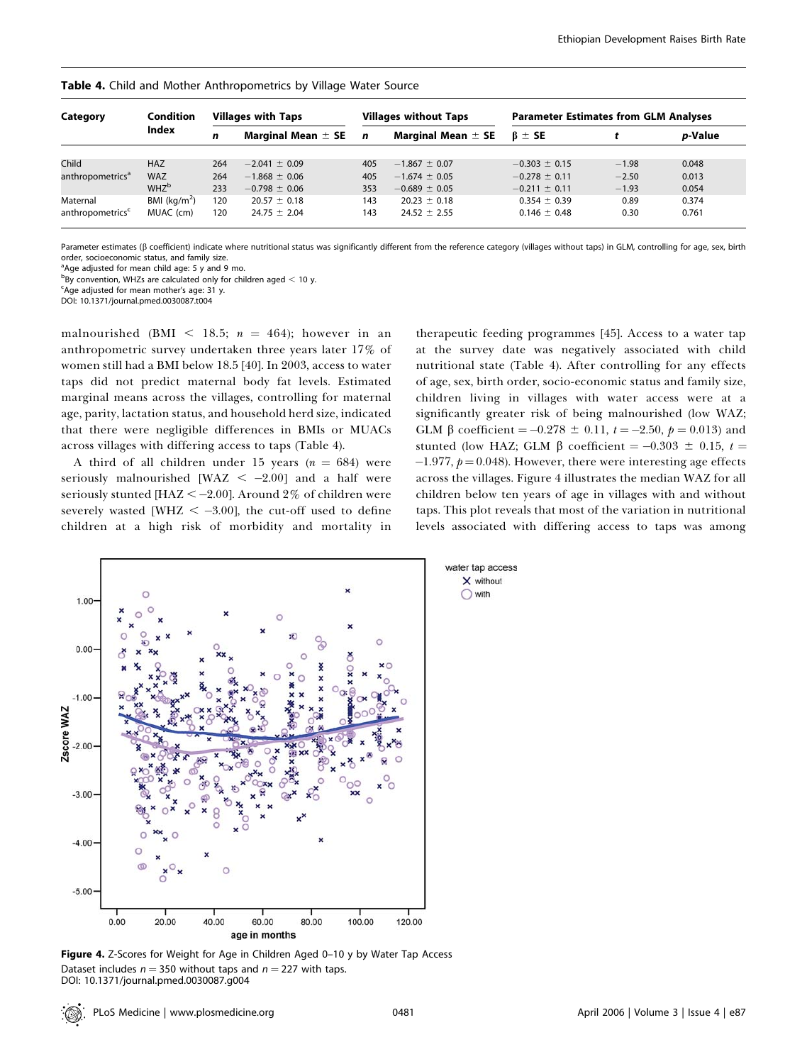| Category                     | Condition        | <b>Villages with Taps</b> |                        |     | <b>Villages without Taps</b> | <b>Parameter Estimates from GLM Analyses</b> |         |                 |  |
|------------------------------|------------------|---------------------------|------------------------|-----|------------------------------|----------------------------------------------|---------|-----------------|--|
|                              | Index            | n                         | Marginal Mean $\pm$ SE | n   | Marginal Mean $\pm$ SE       | $\beta \pm SE$                               |         | <i>p</i> -Value |  |
| Child                        | <b>HAZ</b>       | 264                       | $-2.041 \pm 0.09$      | 405 | $-1.867 \pm 0.07$            | $-0.303 \pm 0.15$                            | $-1.98$ | 0.048           |  |
| anthropometrics <sup>a</sup> | WAZ              | 264                       | $-1.868 \pm 0.06$      | 405 | $-1.674 \pm 0.05$            | $-0.278 \pm 0.11$                            | $-2.50$ | 0.013           |  |
|                              | WHZ <sup>b</sup> | 233                       | $-0.798 \pm 0.06$      | 353 | $-0.689 \pm 0.05$            | $-0.211 \pm 0.11$                            | $-1.93$ | 0.054           |  |
| Maternal                     | BMI ( $kg/m2$ )  | 120                       | $20.57 \pm 0.18$       | 143 | $20.23 \pm 0.18$             | $0.354 \pm 0.39$                             | 0.89    | 0.374           |  |
| anthropometrics <sup>c</sup> | MUAC (cm)        | 120                       | $24.75 \pm 2.04$       | 143 | $24.52 \pm 2.55$             | $0.146 \pm 0.48$                             | 0.30    | 0.761           |  |

Table 4. Child and Mother Anthropometrics by Village Water Source

Parameter estimates ( $\beta$  coefficient) indicate where nutritional status was significantly different from the reference category (villages without taps) in GLM, controlling for age, sex, birth order, socioeconomic status, and family size.

<sup>a</sup>Age adjusted for mean child age: 5 y and 9 mo.

 $b_{\rm BV}$  convention, WHZs are calculated only for children aged  $<$  10 y.

Age adjusted for mean mother's age: 31 y.

DOI: 10.1371/journal.pmed.0030087.t004

malnourished (BMI < 18.5;  $n = 464$ ); however in an anthropometric survey undertaken three years later 17% of women still had a BMI below 18.5 [40]. In 2003, access to water taps did not predict maternal body fat levels. Estimated marginal means across the villages, controlling for maternal age, parity, lactation status, and household herd size, indicated that there were negligible differences in BMIs or MUACs across villages with differing access to taps (Table 4).

A third of all children under 15 years ( $n = 684$ ) were seriously malnourished [WAZ  $\le$  -2.00] and a half were seriously stunted [HAZ  $<-2.00$ ]. Around 2% of children were severely wasted [WHZ  $<-3.00$ ], the cut-off used to define children at a high risk of morbidity and mortality in

therapeutic feeding programmes [45]. Access to a water tap at the survey date was negatively associated with child nutritional state (Table 4). After controlling for any effects of age, sex, birth order, socio-economic status and family size, children living in villages with water access were at a significantly greater risk of being malnourished (low WAZ; GLM  $\beta$  coefficient = -0.278  $\pm$  0.11,  $t = -2.50$ ,  $p = 0.013$ ) and stunted (low HAZ; GLM  $\beta$  coefficient = -0.303  $\pm$  0.15, t =  $-1.977$ ,  $p = 0.048$ ). However, there were interesting age effects across the villages. Figure 4 illustrates the median WAZ for all children below ten years of age in villages with and without taps. This plot reveals that most of the variation in nutritional levels associated with differing access to taps was among



X without  $\bigcirc$  with

Figure 4. Z-Scores for Weight for Age in Children Aged 0-10 y by Water Tap Access Dataset includes  $n = 350$  without taps and  $n = 227$  with taps. DOI: 10.1371/journal.pmed.0030087.g004

PLoS Medicine | www.plosmedicine.org April 2006 | Volume 3 | Issue 4 | e87 0481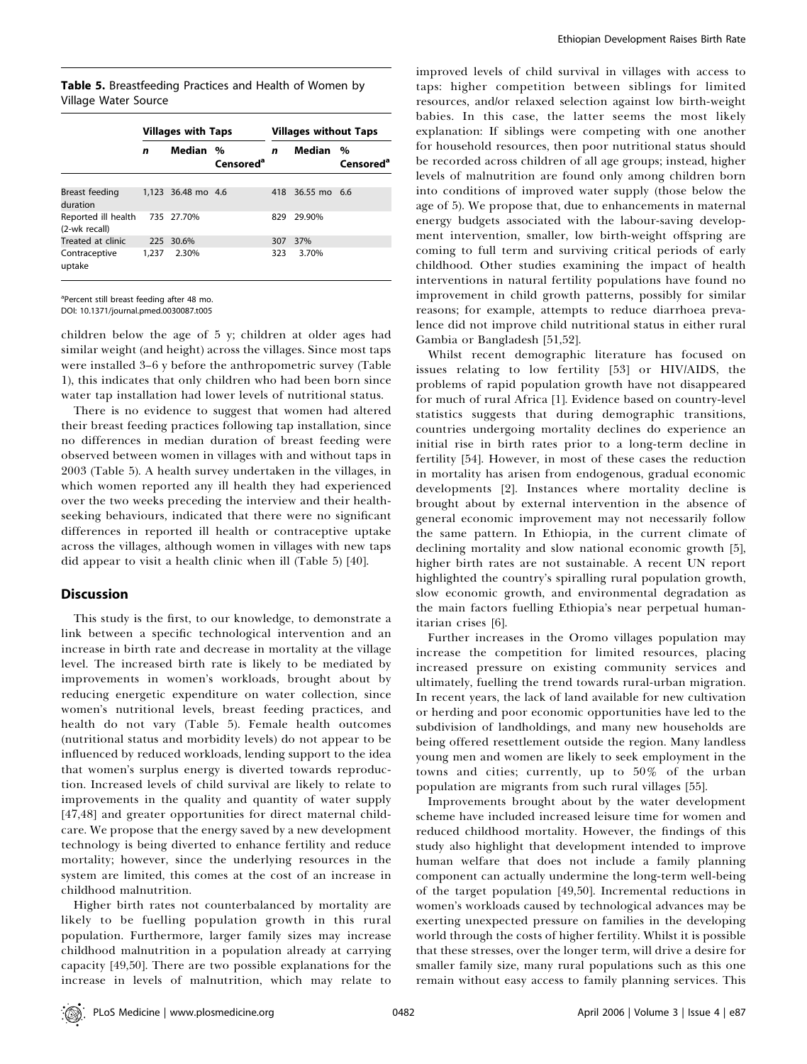| <b>Table 5.</b> Breastfeeding Practices and Health of Women by |  |  |  |
|----------------------------------------------------------------|--|--|--|
| Village Water Source                                           |  |  |  |

|                                      | <b>Villages with Taps</b> |                    |                       | <b>Villages without Taps</b> |                  |                       |  |
|--------------------------------------|---------------------------|--------------------|-----------------------|------------------------------|------------------|-----------------------|--|
|                                      | n                         | Median %           | Censored <sup>a</sup> | n                            | Median %         | Censored <sup>a</sup> |  |
|                                      |                           |                    |                       |                              |                  |                       |  |
| Breast feeding<br>duration           |                           | 1.123 36.48 mo 4.6 |                       |                              | 418 36.55 mo 6.6 |                       |  |
| Reported ill health<br>(2-wk recall) |                           | 735 27.70%         |                       | 829                          | 29.90%           |                       |  |
| Treated at clinic                    |                           | 225 30.6%          |                       | 307                          | 37%              |                       |  |
| Contraceptive<br>uptake              | 1,237                     | 2.30%              |                       | 323                          | 3.70%            |                       |  |

<sup>a</sup>Percent still breast feeding after 48 mo. DOI: 10.1371/journal.pmed.0030087.t005

children below the age of 5 y; children at older ages had similar weight (and height) across the villages. Since most taps were installed 3–6 y before the anthropometric survey (Table 1), this indicates that only children who had been born since water tap installation had lower levels of nutritional status.

There is no evidence to suggest that women had altered their breast feeding practices following tap installation, since no differences in median duration of breast feeding were observed between women in villages with and without taps in 2003 (Table 5). A health survey undertaken in the villages, in which women reported any ill health they had experienced over the two weeks preceding the interview and their healthseeking behaviours, indicated that there were no significant differences in reported ill health or contraceptive uptake across the villages, although women in villages with new taps did appear to visit a health clinic when ill (Table 5) [40].

#### **Discussion**

This study is the first, to our knowledge, to demonstrate a link between a specific technological intervention and an increase in birth rate and decrease in mortality at the village level. The increased birth rate is likely to be mediated by improvements in women's workloads, brought about by reducing energetic expenditure on water collection, since women's nutritional levels, breast feeding practices, and health do not vary (Table 5). Female health outcomes (nutritional status and morbidity levels) do not appear to be influenced by reduced workloads, lending support to the idea that women's surplus energy is diverted towards reproduction. Increased levels of child survival are likely to relate to improvements in the quality and quantity of water supply [47,48] and greater opportunities for direct maternal childcare. We propose that the energy saved by a new development technology is being diverted to enhance fertility and reduce mortality; however, since the underlying resources in the system are limited, this comes at the cost of an increase in childhood malnutrition.

Higher birth rates not counterbalanced by mortality are likely to be fuelling population growth in this rural population. Furthermore, larger family sizes may increase childhood malnutrition in a population already at carrying capacity [49,50]. There are two possible explanations for the increase in levels of malnutrition, which may relate to

improved levels of child survival in villages with access to taps: higher competition between siblings for limited resources, and/or relaxed selection against low birth-weight babies. In this case, the latter seems the most likely explanation: If siblings were competing with one another for household resources, then poor nutritional status should be recorded across children of all age groups; instead, higher levels of malnutrition are found only among children born into conditions of improved water supply (those below the age of 5). We propose that, due to enhancements in maternal energy budgets associated with the labour-saving development intervention, smaller, low birth-weight offspring are coming to full term and surviving critical periods of early childhood. Other studies examining the impact of health interventions in natural fertility populations have found no improvement in child growth patterns, possibly for similar reasons; for example, attempts to reduce diarrhoea prevalence did not improve child nutritional status in either rural Gambia or Bangladesh [51,52].

Whilst recent demographic literature has focused on issues relating to low fertility [53] or HIV/AIDS, the problems of rapid population growth have not disappeared for much of rural Africa [1]. Evidence based on country-level statistics suggests that during demographic transitions, countries undergoing mortality declines do experience an initial rise in birth rates prior to a long-term decline in fertility [54]. However, in most of these cases the reduction in mortality has arisen from endogenous, gradual economic developments [2]. Instances where mortality decline is brought about by external intervention in the absence of general economic improvement may not necessarily follow the same pattern. In Ethiopia, in the current climate of declining mortality and slow national economic growth [5], higher birth rates are not sustainable. A recent UN report highlighted the country's spiralling rural population growth, slow economic growth, and environmental degradation as the main factors fuelling Ethiopia's near perpetual humanitarian crises [6].

Further increases in the Oromo villages population may increase the competition for limited resources, placing increased pressure on existing community services and ultimately, fuelling the trend towards rural-urban migration. In recent years, the lack of land available for new cultivation or herding and poor economic opportunities have led to the subdivision of landholdings, and many new households are being offered resettlement outside the region. Many landless young men and women are likely to seek employment in the towns and cities; currently, up to 50% of the urban population are migrants from such rural villages [55].

Improvements brought about by the water development scheme have included increased leisure time for women and reduced childhood mortality. However, the findings of this study also highlight that development intended to improve human welfare that does not include a family planning component can actually undermine the long-term well-being of the target population [49,50]. Incremental reductions in women's workloads caused by technological advances may be exerting unexpected pressure on families in the developing world through the costs of higher fertility. Whilst it is possible that these stresses, over the longer term, will drive a desire for smaller family size, many rural populations such as this one remain without easy access to family planning services. This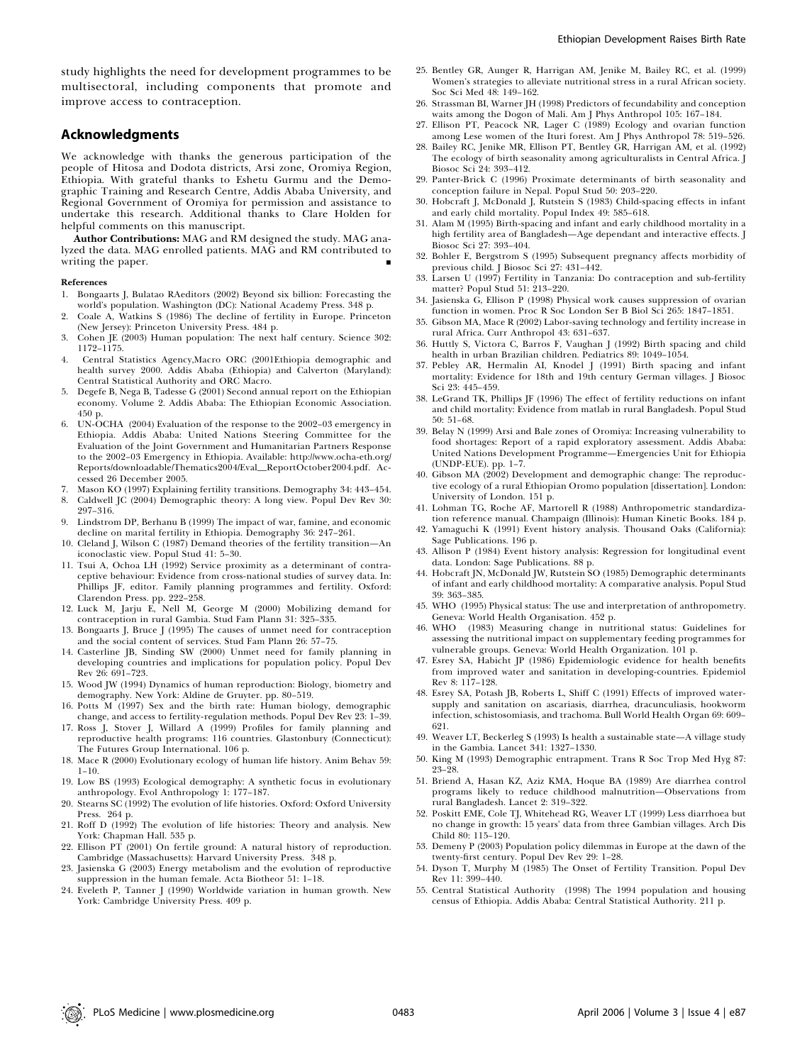study highlights the need for development programmes to be multisectoral, including components that promote and improve access to contraception.

#### Acknowledgments

We acknowledge with thanks the generous participation of the people of Hitosa and Dodota districts, Arsi zone, Oromiya Region, Ethiopia. With grateful thanks to Eshetu Gurmu and the Demographic Training and Research Centre, Addis Ababa University, and Regional Government of Oromiya for permission and assistance to undertake this research. Additional thanks to Clare Holden for helpful comments on this manuscript.

Author Contributions: MAG and RM designed the study. MAG analyzed the data. MAG enrolled patients. MAG and RM contributed to writing the paper.

#### References

- 1. Bongaarts J, Bulatao RAeditors (2002) Beyond six billion: Forecasting the world's population. Washington (DC): National Academy Press. 348 p.
- 2. Coale A, Watkins S (1986) The decline of fertility in Europe. Princeton (New Jersey): Princeton University Press. 484 p.
- 3. Cohen JE (2003) Human population: The next half century. Science 302: 1172–1175.
- 4. Central Statistics Agency,Macro ORC (2001Ethiopia demographic and health survey 2000. Addis Ababa (Ethiopia) and Calverton (Maryland): Central Statistical Authority and ORC Macro.
- 5. Degefe B, Nega B, Tadesse G (2001) Second annual report on the Ethiopian economy. Volume 2. Addis Ababa: The Ethiopian Economic Association. 450 p.
- 6. UN-OCHA (2004) Evaluation of the response to the 2002–03 emergency in Ethiopia. Addis Ababa: United Nations Steering Committee for the Evaluation of the Joint Government and Humanitarian Partners Response to the 2002–03 Emergency in Ethiopia. Available: http://www.ocha-eth.org/ Reports/downloadable/Thematics2004/Eval\_ReportOctober2004.pdf. Accessed 26 December 2005.
- Mason KO (1997) Explaining fertility transitions. Demography 34: 443-454.
- 8. Caldwell JC (2004) Demographic theory: A long view. Popul Dev Rev 30: 297–316.
- 9. Lindstrom DP, Berhanu B (1999) The impact of war, famine, and economic decline on marital fertility in Ethiopia. Demography 36: 247–261.
- 10. Cleland J, Wilson C (1987) Demand theories of the fertility transition—An iconoclastic view. Popul Stud 41: 5–30.
- 11. Tsui A, Ochoa LH (1992) Service proximity as a determinant of contraceptive behaviour: Evidence from cross-national studies of survey data. In: Phillips JF, editor. Family planning programmes and fertility. Oxford: Clarendon Press. pp. 222–258.
- 12. Luck M, Jarju E, Nell M, George M (2000) Mobilizing demand for contraception in rural Gambia. Stud Fam Plann 31: 325–335.
- 13. Bongaarts J, Bruce J (1995) The causes of unmet need for contraception and the social content of services. Stud Fam Plann 26: 57–75.
- 14. Casterline JB, Sinding SW (2000) Unmet need for family planning in developing countries and implications for population policy. Popul Dev Rev 26: 691–723.
- 15. Wood JW (1994) Dynamics of human reproduction: Biology, biometry and demography. New York: Aldine de Gruyter. pp. 80–519.
- 16. Potts M (1997) Sex and the birth rate: Human biology, demographic change, and access to fertility-regulation methods. Popul Dev Rev 23: 1–39.
- 17. Ross J, Stover J, Willard A (1999) Profiles for family planning and reproductive health programs: 116 countries. Glastonbury (Connecticut): The Futures Group International. 106 p.
- 18. Mace R (2000) Evolutionary ecology of human life history. Anim Behav 59: 1–10.
- 19. Low BS (1993) Ecological demography: A synthetic focus in evolutionary anthropology. Evol Anthropology 1: 177–187.
- 20. Stearns SC (1992) The evolution of life histories. Oxford: Oxford University Press. 264 p.
- 21. Roff D (1992) The evolution of life histories: Theory and analysis. New York: Chapman Hall. 535 p.
- 22. Ellison PT (2001) On fertile ground: A natural history of reproduction. Cambridge (Massachusetts): Harvard University Press. 348 p.
- 23. Jasienska G (2003) Energy metabolism and the evolution of reproductive suppression in the human female. Acta Biotheor 51: 1–18.
- 24. Eveleth P, Tanner J (1990) Worldwide variation in human growth. New York: Cambridge University Press. 409 p.
- 25. Bentley GR, Aunger R, Harrigan AM, Jenike M, Bailey RC, et al. (1999) Women's strategies to alleviate nutritional stress in a rural African society. Soc Sci Med 48: 149–162.
- 26. Strassman BI, Warner JH (1998) Predictors of fecundability and conception waits among the Dogon of Mali. Am J Phys Anthropol 105: 167–184.
- 27. Ellison PT, Peacock NR, Lager C (1989) Ecology and ovarian function among Lese women of the Ituri forest. Am J Phys Anthropol 78: 519–526.
- 28. Bailey RC, Jenike MR, Ellison PT, Bentley GR, Harrigan AM, et al. (1992) The ecology of birth seasonality among agriculturalists in Central Africa. J Biosoc Sci 24: 393–412.
- 29. Panter-Brick C (1996) Proximate determinants of birth seasonality and conception failure in Nepal. Popul Stud 50: 203–220.
- 30. Hobcraft J, McDonald J, Rutstein S (1983) Child-spacing effects in infant and early child mortality. Popul Index 49: 585–618.
- 31. Alam M (1995) Birth-spacing and infant and early childhood mortality in a high fertility area of Bangladesh—Age dependant and interactive effects. J Biosoc Sci 27: 393–404.
- 32. Bohler E, Bergstrom S (1995) Subsequent pregnancy affects morbidity of previous child. J Biosoc Sci 27: 431–442.
- 33. Larsen U (1997) Fertility in Tanzania: Do contraception and sub-fertility matter? Popul Stud 51: 213–220.
- 34. Jasienska G, Ellison P (1998) Physical work causes suppression of ovarian function in women. Proc R Soc London Ser B Biol Sci 265: 1847–1851.
- 35. Gibson MA, Mace R (2002) Labor-saving technology and fertility increase in rural Africa. Curr Anthropol 43: 631–637.
- 36. Huttly S, Victora C, Barros F, Vaughan J (1992) Birth spacing and child health in urban Brazilian children. Pediatrics 89: 1049–1054.
- 37. Pebley AR, Hermalin AI, Knodel J (1991) Birth spacing and infant mortality: Evidence for 18th and 19th century German villages. J Biosoc Sci 23: 445–459.
- 38. LeGrand TK, Phillips JF (1996) The effect of fertility reductions on infant and child mortality: Evidence from matlab in rural Bangladesh. Popul Stud 50: 51–68.
- 39. Belay N (1999) Arsi and Bale zones of Oromiya: Increasing vulnerability to food shortages: Report of a rapid exploratory assessment. Addis Ababa: United Nations Development Programme—Emergencies Unit for Ethiopia (UNDP-EUE). pp. 1–7.
- 40. Gibson MA (2002) Development and demographic change: The reproductive ecology of a rural Ethiopian Oromo population [dissertation]. London: University of London. 151 p.
- 41. Lohman TG, Roche AF, Martorell R (1988) Anthropometric standardization reference manual. Champaign (Illinois): Human Kinetic Books. 184 p.
- 42. Yamaguchi K (1991) Event history analysis. Thousand Oaks (California): Sage Publications. 196 p.
- 43. Allison P (1984) Event history analysis: Regression for longitudinal event data. London: Sage Publications. 88 p.
- 44. Hobcraft JN, McDonald JW, Rutstein SO (1985) Demographic determinants of infant and early childhood mortality: A comparative analysis. Popul Stud 39: 363–385.
- 45. WHO (1995) Physical status: The use and interpretation of anthropometry. Geneva: World Health Organisation. 452 p.
- 46. WHO (1983) Measuring change in nutritional status: Guidelines for assessing the nutritional impact on supplementary feeding programmes for vulnerable groups. Geneva: World Health Organization. 101 p.
- 47. Esrey SA, Habicht JP (1986) Epidemiologic evidence for health benefits from improved water and sanitation in developing-countries. Epidemiol Rev 8: 117–128.
- 48. Esrey SA, Potash JB, Roberts L, Shiff C (1991) Effects of improved watersupply and sanitation on ascariasis, diarrhea, dracunculiasis, hookworm infection, schistosomiasis, and trachoma. Bull World Health Organ 69: 609– 621.
- 49. Weaver LT, Beckerleg S (1993) Is health a sustainable state—A village study in the Gambia. Lancet 341: 1327–1330.
- 50. King M (1993) Demographic entrapment. Trans R Soc Trop Med Hyg 87: 23–28.
- 51. Briend A, Hasan KZ, Aziz KMA, Hoque BA (1989) Are diarrhea control programs likely to reduce childhood malnutrition—Observations from rural Bangladesh. Lancet 2: 319–322.
- 52. Poskitt EME, Cole TJ, Whitehead RG, Weaver LT (1999) Less diarrhoea but no change in growth: 15 years' data from three Gambian villages. Arch Dis Child 80: 115–120.
- 53. Demeny P (2003) Population policy dilemmas in Europe at the dawn of the twenty-first century. Popul Dev Rev 29: 1–28.
- 54. Dyson T, Murphy M (1985) The Onset of Fertility Transition. Popul Dev Rev 11: 399–440.
- 55. Central Statistical Authority (1998) The 1994 population and housing census of Ethiopia. Addis Ababa: Central Statistical Authority. 211 p.